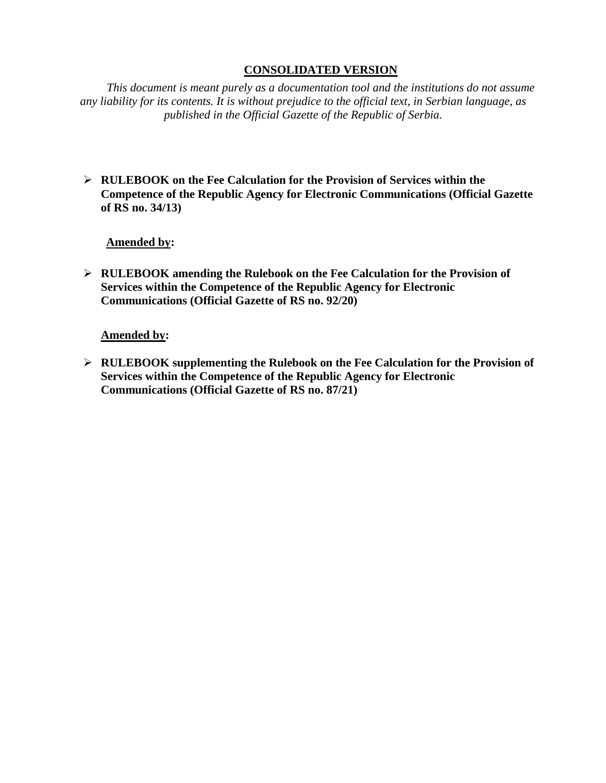# **CONSOLIDATED VERSION**

*This document is meant purely as a documentation tool and the institutions do not assume any liability for its contents. It is without prejudice to the official text, in Serbian language, as published in the Official Gazette of the Republic of Serbia.*

➢ **RULEBOOK on the Fee Calculation for the Provision of Services within the Competence of the Republic Agency for Electronic Communications (Official Gazette of RS no. 34/13)**

**Amended by:** 

➢ **RULEBOOK amending the Rulebook on the Fee Calculation for the Provision of Services within the Competence of the Republic Agency for Electronic Communications (Official Gazette of RS no. 92/20)**

## **Amended by:**

➢ **RULEBOOK supplementing the Rulebook on the Fee Calculation for the Provision of Services within the Competence of the Republic Agency for Electronic Communications (Official Gazette of RS no. 87/21)**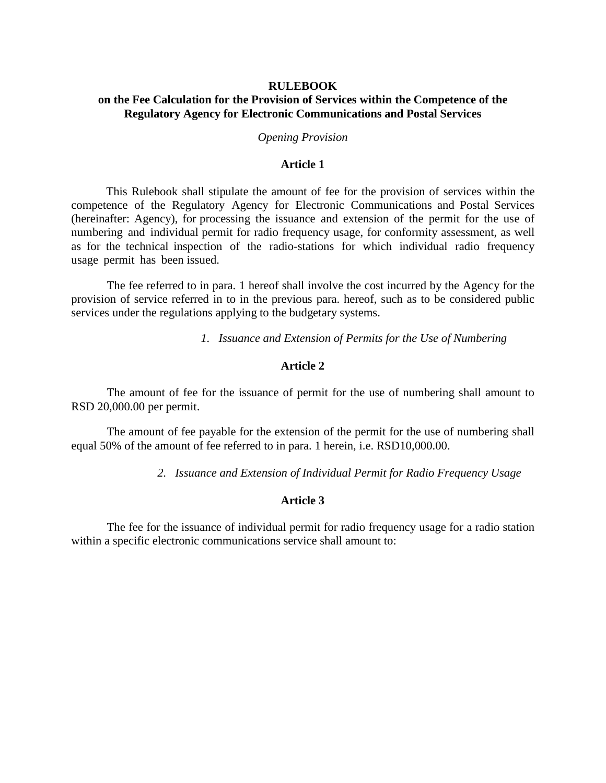## **RULEBOOK on the Fee Calculation for the Provision of Services within the Competence of the Regulatory Agency for Electronic Communications and Postal Services**

*Opening Provision*

#### **Article 1**

This Rulebook shall stipulate the amount of fee for the provision of services within the competence of the Regulatory Agency for Electronic Communications and Postal Services (hereinafter: Agency), for processing the issuance and extension of the permit for the use of numbering and individual permit for radio frequency usage, for conformity assessment, as well as for the technical inspection of the radio-stations for which individual radio frequency usage permit has been issued.

The fee referred to in para. 1 hereof shall involve the cost incurred by the Agency for the provision of service referred in to in the previous para. hereof, such as to be considered public services under the regulations applying to the budgetary systems.

*1. Issuance and Extension of Permits for the Use of Numbering*

## **Article 2**

The amount of fee for the issuance of permit for the use of numbering shall amount to RSD 20,000.00 per permit.

The amount of fee payable for the extension of the permit for the use of numbering shall equal 50% of the amount of fee referred to in para. 1 herein, i.e. RSD10,000.00.

*2. Issuance and Extension of Individual Permit for Radio Frequency Usage*

### **Article 3**

The fee for the issuance of individual permit for radio frequency usage for a radio station within a specific electronic communications service shall amount to: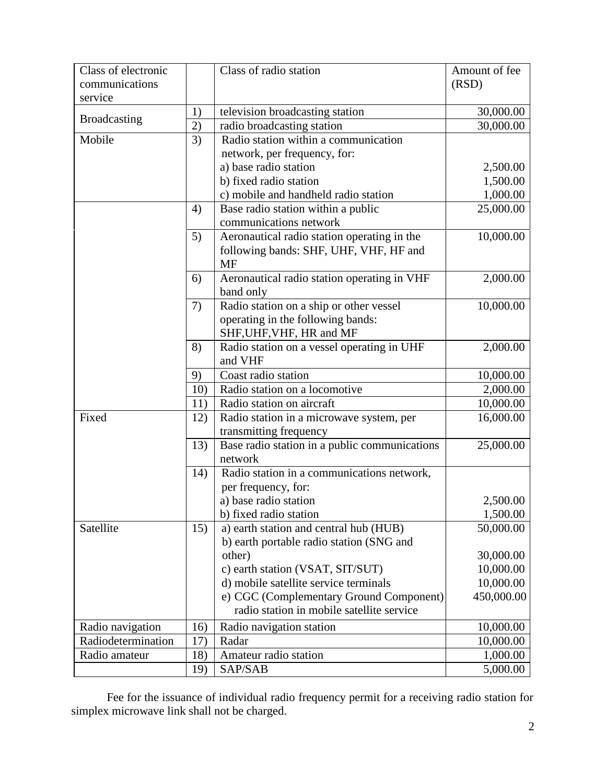| Class of electronic<br>communications |     | Class of radio station                        | Amount of fee<br>(RSD) |
|---------------------------------------|-----|-----------------------------------------------|------------------------|
| service                               |     |                                               |                        |
|                                       | 1)  | television broadcasting station               | 30,000.00              |
| <b>Broadcasting</b>                   | 2)  | radio broadcasting station                    | 30,000.00              |
| Mobile                                | 3)  | Radio station within a communication          |                        |
|                                       |     | network, per frequency, for:                  |                        |
|                                       |     | a) base radio station                         | 2,500.00               |
|                                       |     | b) fixed radio station                        | 1,500.00               |
|                                       |     | c) mobile and handheld radio station          | 1,000.00               |
|                                       | 4)  | Base radio station within a public            | 25,000.00              |
|                                       |     | communications network                        |                        |
|                                       | 5)  | Aeronautical radio station operating in the   | 10,000.00              |
|                                       |     | following bands: SHF, UHF, VHF, HF and        |                        |
|                                       |     | <b>MF</b>                                     |                        |
|                                       | 6)  | Aeronautical radio station operating in VHF   | 2,000.00               |
|                                       |     | band only                                     |                        |
|                                       | 7)  | Radio station on a ship or other vessel       | 10,000.00              |
|                                       |     | operating in the following bands:             |                        |
|                                       |     | SHF, UHF, VHF, HR and MF                      |                        |
|                                       | 8)  | Radio station on a vessel operating in UHF    | 2,000.00               |
|                                       |     | and VHF                                       |                        |
|                                       | 9)  | Coast radio station                           | 10,000.00              |
|                                       | 10) | Radio station on a locomotive                 | 2,000.00               |
|                                       | 11) | Radio station on aircraft                     | 10,000.00              |
| Fixed                                 | 12) | Radio station in a microwave system, per      | 16,000.00              |
|                                       |     | transmitting frequency                        |                        |
|                                       | 13) | Base radio station in a public communications | 25,000.00              |
|                                       |     | network                                       |                        |
|                                       | 14) | Radio station in a communications network,    |                        |
|                                       |     | per frequency, for:                           |                        |
|                                       |     | a) base radio station                         | 2,500.00               |
|                                       |     | b) fixed radio station                        | 1,500.00               |
| Satellite                             | 15) | a) earth station and central hub (HUB)        | 50,000.00              |
|                                       |     | b) earth portable radio station (SNG and      |                        |
|                                       |     | other)                                        | 30,000.00              |
|                                       |     | c) earth station (VSAT, SIT/SUT)              | 10,000.00              |
|                                       |     | d) mobile satellite service terminals         | 10,000.00              |
|                                       |     | e) CGC (Complementary Ground Component)       | 450,000.00             |
|                                       |     | radio station in mobile satellite service     |                        |
| Radio navigation                      | 16) | Radio navigation station                      | 10,000.00              |
| Radiodetermination                    | 17) | Radar                                         | 10,000.00              |
| Radio amateur                         | 18) | Amateur radio station                         | 1,000.00               |
|                                       | 19) | SAP/SAB                                       | 5,000.00               |

Fee for the issuance of individual radio frequency permit for a receiving radio station for simplex microwave link shall not be charged.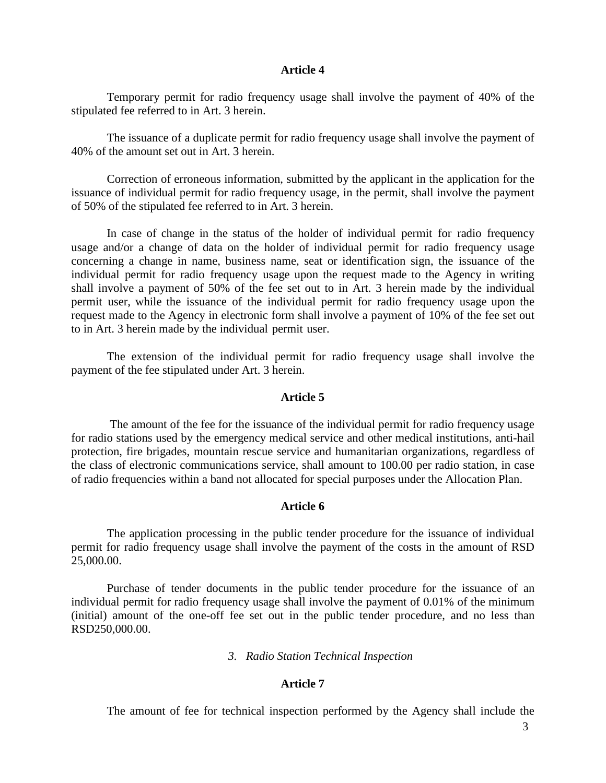#### **Article 4**

Temporary permit for radio frequency usage shall involve the payment of 40% of the stipulated fee referred to in Art. 3 herein.

The issuance of a duplicate permit for radio frequency usage shall involve the payment of 40% of the amount set out in Art. 3 herein.

Correction of erroneous information, submitted by the applicant in the application for the issuance of individual permit for radio frequency usage, in the permit, shall involve the payment of 50% of the stipulated fee referred to in Art. 3 herein.

In case of change in the status of the holder of individual permit for radio frequency usage and/or a change of data on the holder of individual permit for radio frequency usage concerning a change in name, business name, seat or identification sign, the issuance of the individual permit for radio frequency usage upon the request made to the Agency in writing shall involve a payment of 50% of the fee set out to in Art. 3 herein made by the individual permit user, while the issuance of the individual permit for radio frequency usage upon the request made to the Agency in electronic form shall involve a payment of 10% of the fee set out to in Art. 3 herein made by the individual permit user.

The extension of the individual permit for radio frequency usage shall involve the payment of the fee stipulated under Art. 3 herein.

#### **Article 5**

The amount of the fee for the issuance of the individual permit for radio frequency usage for radio stations used by the emergency medical service and other medical institutions, anti-hail protection, fire brigades, mountain rescue service and humanitarian organizations, regardless of the class of electronic communications service, shall amount to 100.00 per radio station, in case of radio frequencies within a band not allocated for special purposes under the Allocation Plan.

#### **Article 6**

The application processing in the public tender procedure for the issuance of individual permit for radio frequency usage shall involve the payment of the costs in the amount of RSD 25,000.00.

Purchase of tender documents in the public tender procedure for the issuance of an individual permit for radio frequency usage shall involve the payment of 0.01% of the minimum (initial) amount of the one-off fee set out in the public tender procedure, and no less than RSD250,000.00.

#### *3. Radio Station Technical Inspection*

#### **Article 7**

The amount of fee for technical inspection performed by the Agency shall include the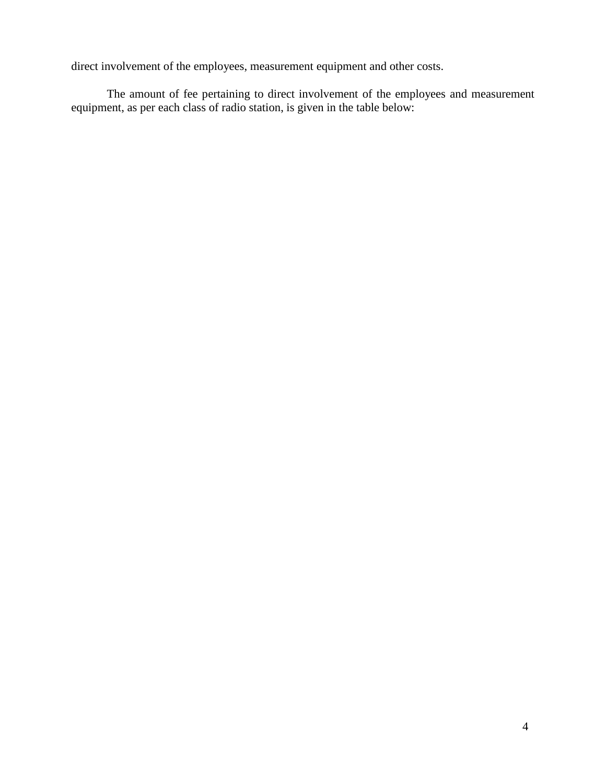direct involvement of the employees, measurement equipment and other costs.

The amount of fee pertaining to direct involvement of the employees and measurement equipment, as per each class of radio station, is given in the table below: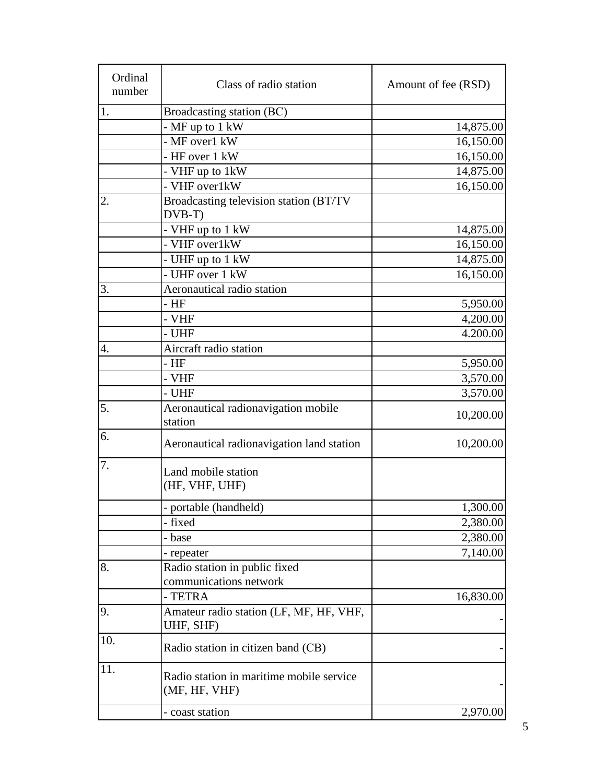| Ordinal<br>number | Class of radio station                                    | Amount of fee (RSD) |
|-------------------|-----------------------------------------------------------|---------------------|
| 1.                | Broadcasting station (BC)                                 |                     |
|                   | $-MF$ up to 1 kW                                          | 14,875.00           |
|                   | - MF over1 kW                                             | 16,150.00           |
|                   | - HF over 1 kW                                            | 16,150.00           |
|                   | - VHF up to 1kW                                           | 14,875.00           |
|                   | - VHF over1kW                                             | 16,150.00           |
| 2.                | Broadcasting television station (BT/TV<br>DVB-T)          |                     |
|                   | - VHF up to 1 kW                                          | 14,875.00           |
|                   | - VHF over1kW                                             | 16,150.00           |
|                   | - UHF up to 1 kW                                          | 14,875.00           |
|                   | - UHF over 1 kW                                           | 16,150.00           |
| 3.                | Aeronautical radio station                                |                     |
|                   | - HF                                                      | 5,950.00            |
|                   | - VHF                                                     | 4,200.00            |
|                   | - UHF                                                     | 4.200.00            |
| 4.                | Aircraft radio station                                    |                     |
|                   | - HF                                                      | 5,950.00            |
|                   | - VHF                                                     | 3,570.00            |
|                   | - UHF                                                     | 3,570.00            |
| 5.                | Aeronautical radionavigation mobile<br>station            | 10,200.00           |
| 6.                | Aeronautical radionavigation land station                 | 10,200.00           |
| 7.                | Land mobile station<br>(HF, VHF, UHF)                     |                     |
|                   | portable (handheld)                                       | 1,300.00            |
|                   | - fixed                                                   | 2,380.00            |
|                   | - base                                                    | 2,380.00            |
|                   | - repeater                                                | 7,140.00            |
| 8.                | Radio station in public fixed<br>communications network   |                     |
|                   | - TETRA                                                   | 16,830.00           |
| 9.                | Amateur radio station (LF, MF, HF, VHF,<br>UHF, SHF)      |                     |
| 10.               | Radio station in citizen band (CB)                        |                     |
| 11.               | Radio station in maritime mobile service<br>(MF, HF, VHF) |                     |
|                   | - coast station                                           | 2,970.00            |
|                   |                                                           |                     |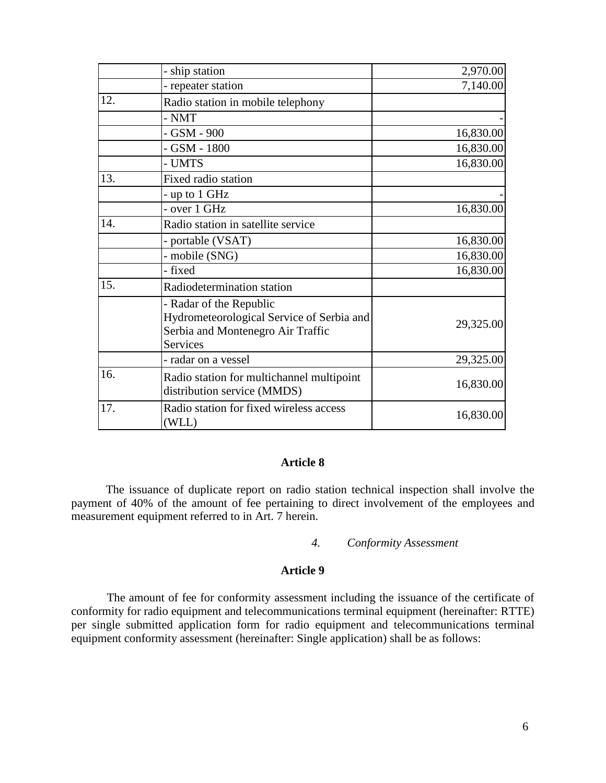|     | - ship station                                                                                                               | 2,970.00  |
|-----|------------------------------------------------------------------------------------------------------------------------------|-----------|
|     | - repeater station                                                                                                           | 7,140.00  |
| 12. | Radio station in mobile telephony                                                                                            |           |
|     | $- NMT$                                                                                                                      |           |
|     | - GSM - 900                                                                                                                  | 16,830.00 |
|     | $-$ GSM $-$ 1800                                                                                                             | 16,830.00 |
|     | - UMTS                                                                                                                       | 16,830.00 |
| 13. | Fixed radio station                                                                                                          |           |
|     | - up to 1 GHz                                                                                                                |           |
|     | - over 1 GHz                                                                                                                 | 16,830.00 |
| 14. | Radio station in satellite service                                                                                           |           |
|     | - portable (VSAT)                                                                                                            | 16,830.00 |
|     | - mobile (SNG)                                                                                                               | 16,830.00 |
|     | - fixed                                                                                                                      | 16,830.00 |
| 15. | Radiodetermination station                                                                                                   |           |
|     | - Radar of the Republic<br>Hydrometeorological Service of Serbia and<br>Serbia and Montenegro Air Traffic<br><b>Services</b> | 29,325.00 |
|     | - radar on a vessel                                                                                                          | 29,325.00 |
| 16. | Radio station for multichannel multipoint<br>distribution service (MMDS)                                                     | 16,830.00 |
| 17. | Radio station for fixed wireless access<br>(WLL)                                                                             | 16,830.00 |

## **Article 8**

The issuance of duplicate report on radio station technical inspection shall involve the payment of 40% of the amount of fee pertaining to direct involvement of the employees and measurement equipment referred to in Art. 7 herein.

*4. Conformity Assessment*

#### **Article 9**

The amount of fee for conformity assessment including the issuance of the certificate of conformity for radio equipment and telecommunications terminal equipment (hereinafter: RTTE) per single submitted application form for radio equipment and telecommunications terminal equipment conformity assessment (hereinafter: Single application) shall be as follows: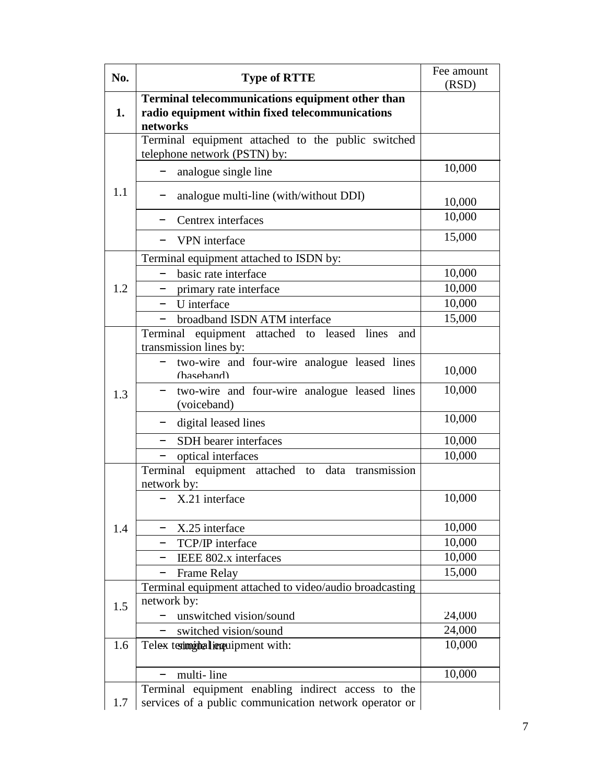| No. | <b>Type of RTTE</b>                                                                                             | Fee amount<br>(RSD) |
|-----|-----------------------------------------------------------------------------------------------------------------|---------------------|
| 1.  | Terminal telecommunications equipment other than<br>radio equipment within fixed telecommunications<br>networks |                     |
|     | Terminal equipment attached to the public switched<br>telephone network (PSTN) by:                              |                     |
|     | analogue single line                                                                                            | 10,000              |
| 1.1 | analogue multi-line (with/without DDI)                                                                          | 10,000              |
|     | Centrex interfaces                                                                                              | 10,000              |
|     | VPN interface                                                                                                   | 15,000              |
|     | Terminal equipment attached to ISDN by:                                                                         |                     |
|     | basic rate interface                                                                                            | 10,000              |
| 1.2 | primary rate interface                                                                                          | 10,000              |
|     | U interface                                                                                                     | 10,000              |
|     | broadband ISDN ATM interface                                                                                    | 15,000              |
| 1.3 | Terminal equipment attached to leased lines<br>and<br>transmission lines by:                                    |                     |
|     | two-wire and four-wire analogue leased lines<br>(hasehand)                                                      | 10,000              |
|     | two-wire and four-wire analogue leased lines<br>(voiceband)                                                     | 10,000              |
|     | digital leased lines                                                                                            | 10,000              |
|     | SDH bearer interfaces                                                                                           | 10,000              |
|     | optical interfaces                                                                                              | 10,000              |
|     | Terminal equipment attached to data transmission<br>network by:                                                 |                     |
|     | - X.21 interface                                                                                                | 10,000              |
| 1.4 | X.25 interface                                                                                                  | 10,000              |
|     | TCP/IP interface                                                                                                | 10,000              |
|     | IEEE 802.x interfaces<br>-                                                                                      | 10,000              |
|     | <b>Frame Relay</b>                                                                                              | 15,000              |
|     | Terminal equipment attached to video/audio broadcasting                                                         |                     |
| 1.5 | network by:                                                                                                     |                     |
|     | unswitched vision/sound                                                                                         | 24,000              |
|     | switched vision/sound                                                                                           | 24,000              |
| 1.6 | Telex text imital inquipment with:                                                                              | 10,000              |
|     | multi-line                                                                                                      | 10,000              |
|     | Terminal equipment enabling indirect access to the                                                              |                     |
| 1.7 | services of a public communication network operator or                                                          |                     |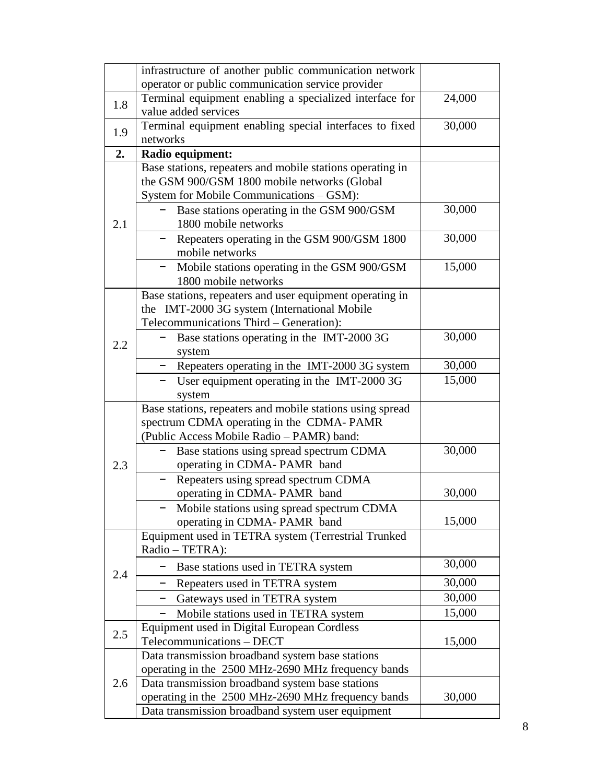|     | infrastructure of another public communication network                                                    |                  |
|-----|-----------------------------------------------------------------------------------------------------------|------------------|
|     | operator or public communication service provider                                                         |                  |
| 1.8 | Terminal equipment enabling a specialized interface for                                                   | 24,000           |
|     | value added services                                                                                      |                  |
| 1.9 | Terminal equipment enabling special interfaces to fixed                                                   | 30,000           |
|     | networks                                                                                                  |                  |
| 2.  | Radio equipment:                                                                                          |                  |
|     | Base stations, repeaters and mobile stations operating in<br>the GSM 900/GSM 1800 mobile networks (Global |                  |
|     | System for Mobile Communications - GSM):                                                                  |                  |
|     | Base stations operating in the GSM 900/GSM                                                                | 30,000           |
| 2.1 | 1800 mobile networks                                                                                      |                  |
|     | Repeaters operating in the GSM 900/GSM 1800                                                               | 30,000           |
|     | mobile networks                                                                                           |                  |
|     | Mobile stations operating in the GSM 900/GSM                                                              | 15,000           |
|     | 1800 mobile networks                                                                                      |                  |
|     | Base stations, repeaters and user equipment operating in                                                  |                  |
|     | the IMT-2000 3G system (International Mobile                                                              |                  |
|     | Telecommunications Third - Generation):                                                                   |                  |
| 2.2 | Base stations operating in the IMT-2000 3G                                                                | 30,000           |
|     | system                                                                                                    |                  |
|     | Repeaters operating in the IMT-2000 3G system                                                             | 30,000<br>15,000 |
|     | User equipment operating in the IMT-2000 3G<br>system                                                     |                  |
|     | Base stations, repeaters and mobile stations using spread                                                 |                  |
|     | spectrum CDMA operating in the CDMA-PAMR                                                                  |                  |
|     | (Public Access Mobile Radio - PAMR) band:                                                                 |                  |
|     | Base stations using spread spectrum CDMA                                                                  | 30,000           |
| 2.3 | operating in CDMA-PAMR band                                                                               |                  |
|     | Repeaters using spread spectrum CDMA                                                                      |                  |
|     | operating in CDMA-PAMR band                                                                               | 30,000           |
|     | Mobile stations using spread spectrum CDMA                                                                |                  |
|     | operating in CDMA-PAMR band                                                                               | 15,000           |
|     | Equipment used in TETRA system (Terrestrial Trunked                                                       |                  |
|     | Radio - TETRA):                                                                                           | 30,000           |
| 2.4 | Base stations used in TETRA system                                                                        |                  |
|     | Repeaters used in TETRA system                                                                            | 30,000           |
|     | Gateways used in TETRA system                                                                             | 30,000<br>15,000 |
|     | Mobile stations used in TETRA system                                                                      |                  |
| 2.5 | Equipment used in Digital European Cordless<br>Telecommunications - DECT                                  | 15,000           |
|     | Data transmission broadband system base stations                                                          |                  |
|     | operating in the 2500 MHz-2690 MHz frequency bands                                                        |                  |
| 2.6 | Data transmission broadband system base stations                                                          |                  |
|     | operating in the 2500 MHz-2690 MHz frequency bands                                                        | 30,000           |
|     | Data transmission broadband system user equipment                                                         |                  |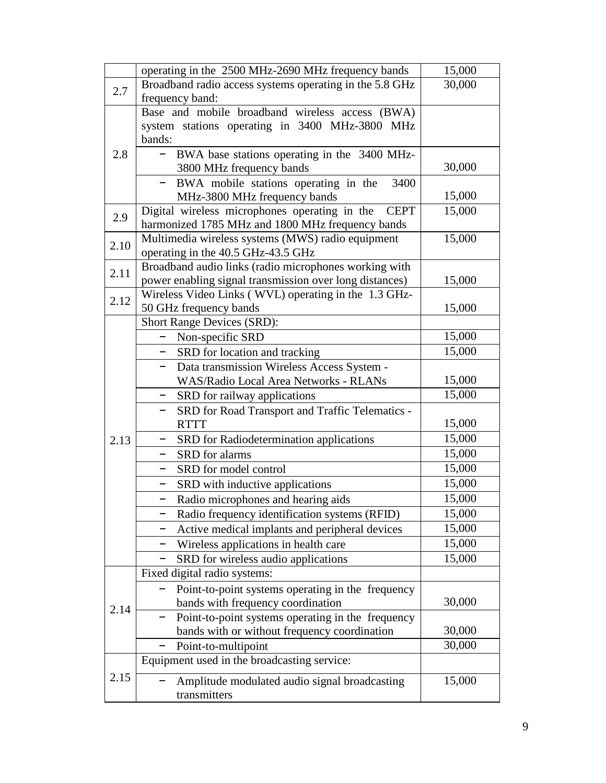|      | operating in the 2500 MHz-2690 MHz frequency bands                                      | 15,000 |
|------|-----------------------------------------------------------------------------------------|--------|
| 2.7  | Broadband radio access systems operating in the 5.8 GHz                                 | 30,000 |
|      | frequency band:                                                                         |        |
|      | Base and mobile broadband wireless access (BWA)                                         |        |
|      | system stations operating in 3400 MHz-3800 MHz                                          |        |
|      | bands:                                                                                  |        |
| 2.8  | - BWA base stations operating in the 3400 MHz-                                          |        |
|      | 3800 MHz frequency bands                                                                | 30,000 |
|      | BWA mobile stations operating in the<br>3400                                            |        |
|      | MHz-3800 MHz frequency bands                                                            | 15,000 |
| 2.9  | Digital wireless microphones operating in the<br><b>CEPT</b>                            | 15,000 |
|      | harmonized 1785 MHz and 1800 MHz frequency bands                                        | 15,000 |
| 2.10 | Multimedia wireless systems (MWS) radio equipment<br>operating in the 40.5 GHz-43.5 GHz |        |
|      | Broadband audio links (radio microphones working with                                   |        |
| 2.11 | power enabling signal transmission over long distances)                                 | 15,000 |
|      | Wireless Video Links (WVL) operating in the 1.3 GHz-                                    |        |
| 2.12 | 50 GHz frequency bands                                                                  | 15,000 |
|      | <b>Short Range Devices (SRD):</b>                                                       |        |
|      | Non-specific SRD                                                                        | 15,000 |
|      | SRD for location and tracking                                                           | 15,000 |
|      | Data transmission Wireless Access System -                                              |        |
|      | <b>WAS/Radio Local Area Networks - RLANs</b>                                            | 15,000 |
|      | SRD for railway applications<br>$-$                                                     | 15,000 |
|      | SRD for Road Transport and Traffic Telematics -                                         |        |
|      | <b>RTTT</b>                                                                             | 15,000 |
| 2.13 | SRD for Radiodetermination applications                                                 | 15,000 |
|      | SRD for alarms<br>$\qquad \qquad -$                                                     | 15,000 |
|      | SRD for model control                                                                   | 15,000 |
|      | SRD with inductive applications<br>-                                                    | 15,000 |
|      | Radio microphones and hearing aids                                                      | 15,000 |
|      | Radio frequency identification systems (RFID)                                           | 15,000 |
|      | Active medical implants and peripheral devices                                          | 15,000 |
|      | Wireless applications in health care                                                    | 15,000 |
|      | SRD for wireless audio applications                                                     | 15,000 |
|      | Fixed digital radio systems:                                                            |        |
| 2.14 | Point-to-point systems operating in the frequency                                       |        |
|      | bands with frequency coordination                                                       | 30,000 |
|      | Point-to-point systems operating in the frequency                                       |        |
|      | bands with or without frequency coordination                                            | 30,000 |
|      | Point-to-multipoint                                                                     | 30,000 |
|      | Equipment used in the broadcasting service:                                             |        |
| 2.15 | Amplitude modulated audio signal broadcasting                                           | 15,000 |
|      | transmitters                                                                            |        |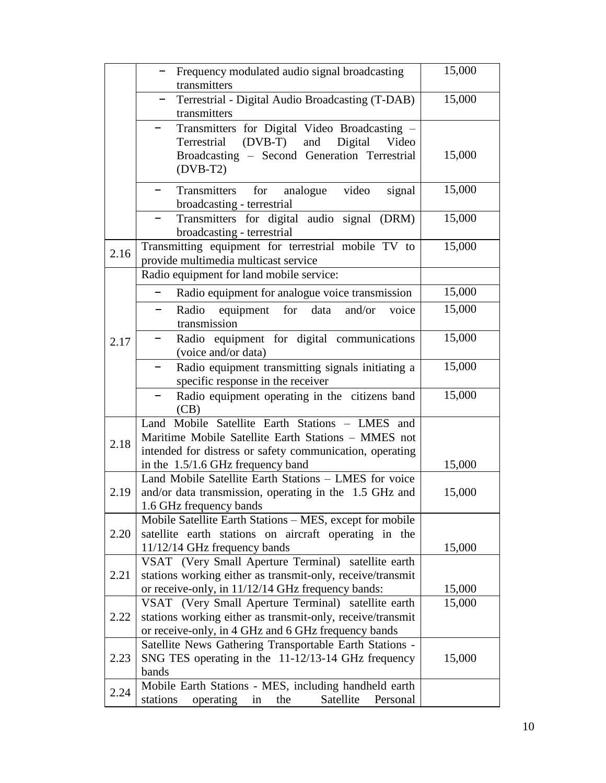|      | Frequency modulated audio signal broadcasting<br>transmitters                                                                                                                                             | 15,000 |
|------|-----------------------------------------------------------------------------------------------------------------------------------------------------------------------------------------------------------|--------|
|      | Terrestrial - Digital Audio Broadcasting (T-DAB)<br>transmitters                                                                                                                                          | 15,000 |
|      | Transmitters for Digital Video Broadcasting -<br>$(DVB-T)$<br>and<br>Digital<br>Terrestrial<br>Video<br>Broadcasting - Second Generation Terrestrial<br>$(DVB-T2)$                                        | 15,000 |
|      | Transmitters for analogue<br>video<br>signal<br>broadcasting - terrestrial                                                                                                                                | 15,000 |
|      | Transmitters for digital audio signal (DRM)<br>broadcasting - terrestrial                                                                                                                                 | 15,000 |
| 2.16 | Transmitting equipment for terrestrial mobile TV to<br>provide multimedia multicast service                                                                                                               | 15,000 |
|      | Radio equipment for land mobile service:                                                                                                                                                                  |        |
|      | Radio equipment for analogue voice transmission                                                                                                                                                           | 15,000 |
|      | Radio<br>for<br>equipment<br>data<br>and/or<br>voice<br>transmission                                                                                                                                      | 15,000 |
| 2.17 | Radio equipment for digital communications<br>(voice and/or data)                                                                                                                                         | 15,000 |
|      | Radio equipment transmitting signals initiating a<br>specific response in the receiver                                                                                                                    | 15,000 |
|      | Radio equipment operating in the citizens band<br>(CB)                                                                                                                                                    | 15,000 |
| 2.18 | Land Mobile Satellite Earth Stations - LMES and<br>Maritime Mobile Satellite Earth Stations - MMES not<br>intended for distress or safety communication, operating<br>in the $1.5/1.6$ GHz frequency band | 15,000 |
| 2.19 | Land Mobile Satellite Earth Stations - LMES for voice<br>and/or data transmission, operating in the 1.5 GHz and<br>1.6 GHz frequency bands                                                                | 15,000 |
| 2.20 | Mobile Satellite Earth Stations – MES, except for mobile<br>satellite earth stations on aircraft operating in the<br>11/12/14 GHz frequency bands                                                         | 15,000 |
| 2.21 | VSAT (Very Small Aperture Terminal) satellite earth<br>stations working either as transmit-only, receive/transmit<br>or receive-only, in 11/12/14 GHz frequency bands:                                    | 15,000 |
| 2.22 | VSAT (Very Small Aperture Terminal) satellite earth<br>stations working either as transmit-only, receive/transmit<br>or receive-only, in 4 GHz and 6 GHz frequency bands                                  | 15,000 |
| 2.23 | Satellite News Gathering Transportable Earth Stations -<br>SNG TES operating in the 11-12/13-14 GHz frequency<br>bands                                                                                    | 15,000 |
| 2.24 | Mobile Earth Stations - MES, including handheld earth<br>stations<br>operating<br>the<br>Satellite<br>Personal<br>in                                                                                      |        |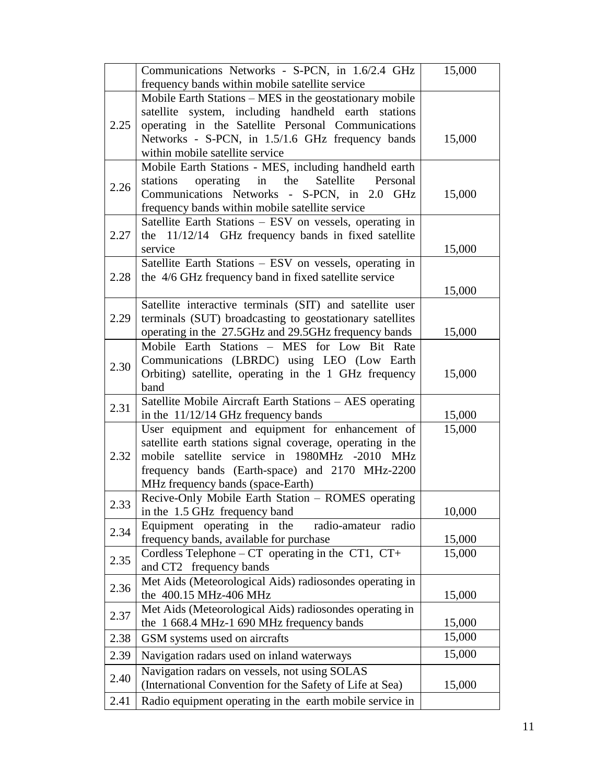|      | Communications Networks - S-PCN, in 1.6/2.4 GHz                                                            | 15,000 |
|------|------------------------------------------------------------------------------------------------------------|--------|
|      | frequency bands within mobile satellite service<br>Mobile Earth Stations - MES in the geostationary mobile |        |
|      | satellite system, including handheld earth stations                                                        |        |
| 2.25 | operating in the Satellite Personal Communications                                                         |        |
|      | Networks - S-PCN, in 1.5/1.6 GHz frequency bands                                                           | 15,000 |
|      | within mobile satellite service                                                                            |        |
|      | Mobile Earth Stations - MES, including handheld earth                                                      |        |
|      | stations<br>operating<br>the<br>in<br>Satellite<br>Personal                                                |        |
| 2.26 | Communications Networks - S-PCN, in 2.0 GHz                                                                | 15,000 |
|      | frequency bands within mobile satellite service                                                            |        |
|      | Satellite Earth Stations – ESV on vessels, operating in                                                    |        |
| 2.27 | the 11/12/14 GHz frequency bands in fixed satellite                                                        |        |
|      | service                                                                                                    | 15,000 |
|      | Satellite Earth Stations - ESV on vessels, operating in                                                    |        |
| 2.28 | the 4/6 GHz frequency band in fixed satellite service                                                      |        |
|      |                                                                                                            | 15,000 |
|      | Satellite interactive terminals (SIT) and satellite user                                                   |        |
| 2.29 | terminals (SUT) broadcasting to geostationary satellites                                                   |        |
|      | operating in the 27.5GHz and 29.5GHz frequency bands                                                       | 15,000 |
|      | Mobile Earth Stations - MES for Low Bit Rate                                                               |        |
| 2.30 | Communications (LBRDC) using LEO (Low Earth                                                                |        |
|      | Orbiting) satellite, operating in the 1 GHz frequency                                                      | 15,000 |
|      | band                                                                                                       |        |
| 2.31 | Satellite Mobile Aircraft Earth Stations - AES operating                                                   |        |
|      | in the 11/12/14 GHz frequency bands                                                                        | 15,000 |
|      | User equipment and equipment for enhancement of                                                            | 15,000 |
|      | satellite earth stations signal coverage, operating in the                                                 |        |
| 2.32 | mobile satellite service in 1980MHz -2010 MHz                                                              |        |
|      | frequency bands (Earth-space) and 2170 MHz-2200                                                            |        |
|      | MHz frequency bands (space-Earth)                                                                          |        |
| 2.33 | Recive-Only Mobile Earth Station - ROMES operating                                                         |        |
|      | in the 1.5 GHz frequency band                                                                              | 10,000 |
| 2.34 | Equipment operating in the<br>radio-amateur<br>radio                                                       |        |
|      | frequency bands, available for purchase                                                                    | 15,000 |
| 2.35 | Cordless Telephone – $CT$ operating in the CT1, CT+                                                        | 15,000 |
|      | and CT2 frequency bands                                                                                    |        |
| 2.36 | Met Aids (Meteorological Aids) radiosondes operating in<br>the 400.15 MHz-406 MHz                          | 15,000 |
|      |                                                                                                            |        |
| 2.37 | Met Aids (Meteorological Aids) radiosondes operating in<br>the 1 668.4 MHz-1 690 MHz frequency bands       | 15,000 |
| 2.38 | GSM systems used on aircrafts                                                                              | 15,000 |
| 2.39 |                                                                                                            | 15,000 |
|      | Navigation radars used on inland waterways                                                                 |        |
| 2.40 | Navigation radars on vessels, not using SOLAS                                                              |        |
|      | (International Convention for the Safety of Life at Sea)                                                   | 15,000 |
| 2.41 | Radio equipment operating in the earth mobile service in                                                   |        |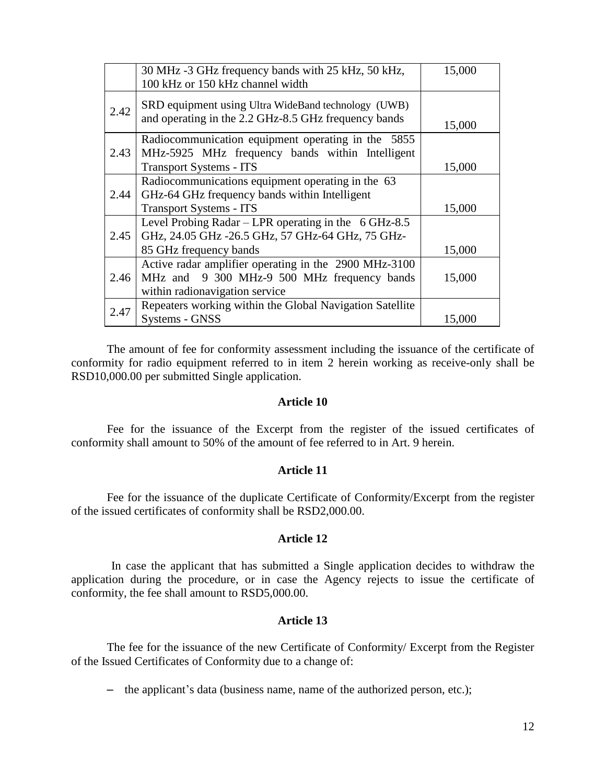|      | 30 MHz -3 GHz frequency bands with 25 kHz, 50 kHz,<br>100 kHz or 150 kHz channel width                                                    | 15,000           |
|------|-------------------------------------------------------------------------------------------------------------------------------------------|------------------|
| 2.42 | SRD equipment using Ultra WideBand technology (UWB)<br>and operating in the 2.2 GHz-8.5 GHz frequency bands                               |                  |
| 2.43 | Radiocommunication equipment operating in the 5855<br>MHz-5925 MHz frequency bands within Intelligent<br><b>Transport Systems - ITS</b>   | 15,000<br>15,000 |
| 2.44 | Radiocommunications equipment operating in the 63<br>GHz-64 GHz frequency bands within Intelligent<br><b>Transport Systems - ITS</b>      | 15,000           |
| 2.45 | Level Probing Radar – LPR operating in the $6$ GHz-8.5<br>GHz, 24.05 GHz -26.5 GHz, 57 GHz-64 GHz, 75 GHz-<br>85 GHz frequency bands      | 15,000           |
| 2.46 | Active radar amplifier operating in the 2900 MHz-3100<br>9 300 MHz-9 500 MHz frequency bands<br>MHz and<br>within radionavigation service | 15,000           |
| 2.47 | Repeaters working within the Global Navigation Satellite<br>Systems - GNSS                                                                | 15,000           |

The amount of fee for conformity assessment including the issuance of the certificate of conformity for radio equipment referred to in item 2 herein working as receive-only shall be RSD10,000.00 per submitted Single application.

#### **Article 10**

Fee for the issuance of the Excerpt from the register of the issued certificates of conformity shall amount to 50% of the amount of fee referred to in Art. 9 herein.

## **Article 11**

Fee for the issuance of the duplicate Certificate of Conformity/Excerpt from the register of the issued certificates of conformity shall be RSD2,000.00.

## **Article 12**

In case the applicant that has submitted a Single application decides to withdraw the application during the procedure, or in case the Agency rejects to issue the certificate of conformity, the fee shall amount to RSD5,000.00.

### **Article 13**

The fee for the issuance of the new Certificate of Conformity/ Excerpt from the Register of the Issued Certificates of Conformity due to a change of:

– the applicant's data (business name, name of the authorized person, etc.);